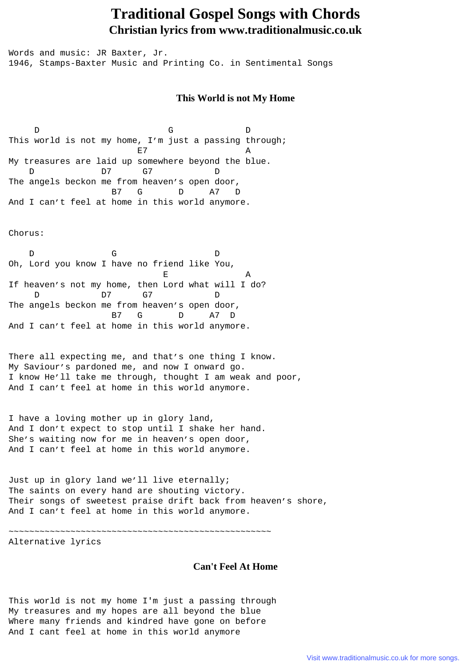## **Traditional Gospel Songs with Chords Christian lyrics from www.traditionalmusic.co.uk**

Words and music: JR Baxter, Jr. 1946, Stamps-Baxter Music and Printing Co. in Sentimental Songs

## **This World is not My Home**

D G D This world is not my home, I'm just a passing through; E7 A My treasures are laid up somewhere beyond the blue.<br>  $D$  07  $G$  0 D 7 G 7 D The angels beckon me from heaven's open door, B7 G D A7 D And I can't feel at home in this world anymore.

Chorus:

D G D Oh, Lord you know I have no friend like You, E A If heaven's not my home, then Lord what will I do? D 7 G 7 D The angels beckon me from heaven's open door, B7 G D A7 D And I can't feel at home in this world anymore.

There all expecting me, and that's one thing I know. My Saviour's pardoned me, and now I onward go. I know He'll take me through, thought I am weak and poor, And I can't feel at home in this world anymore.

I have a loving mother up in glory land, And I don't expect to stop until I shake her hand. She's waiting now for me in heaven's open door, And I can't feel at home in this world anymore.

Just up in glory land we'll live eternally; The saints on every hand are shouting victory. Their songs of sweetest praise drift back from heaven's shore, And I can't feel at home in this world anymore.

~~~~~~~~~~~~~~~~~~~~~~~~~~~~~~~~~~~~~~~~~~~~~~~~~~~

Alternative lyrics

## **Can't Feel At Home**

This world is not my home I'm just a passing through My treasures and my hopes are all beyond the blue Where many friends and kindred have gone on before And I cant feel at home in this world anymore